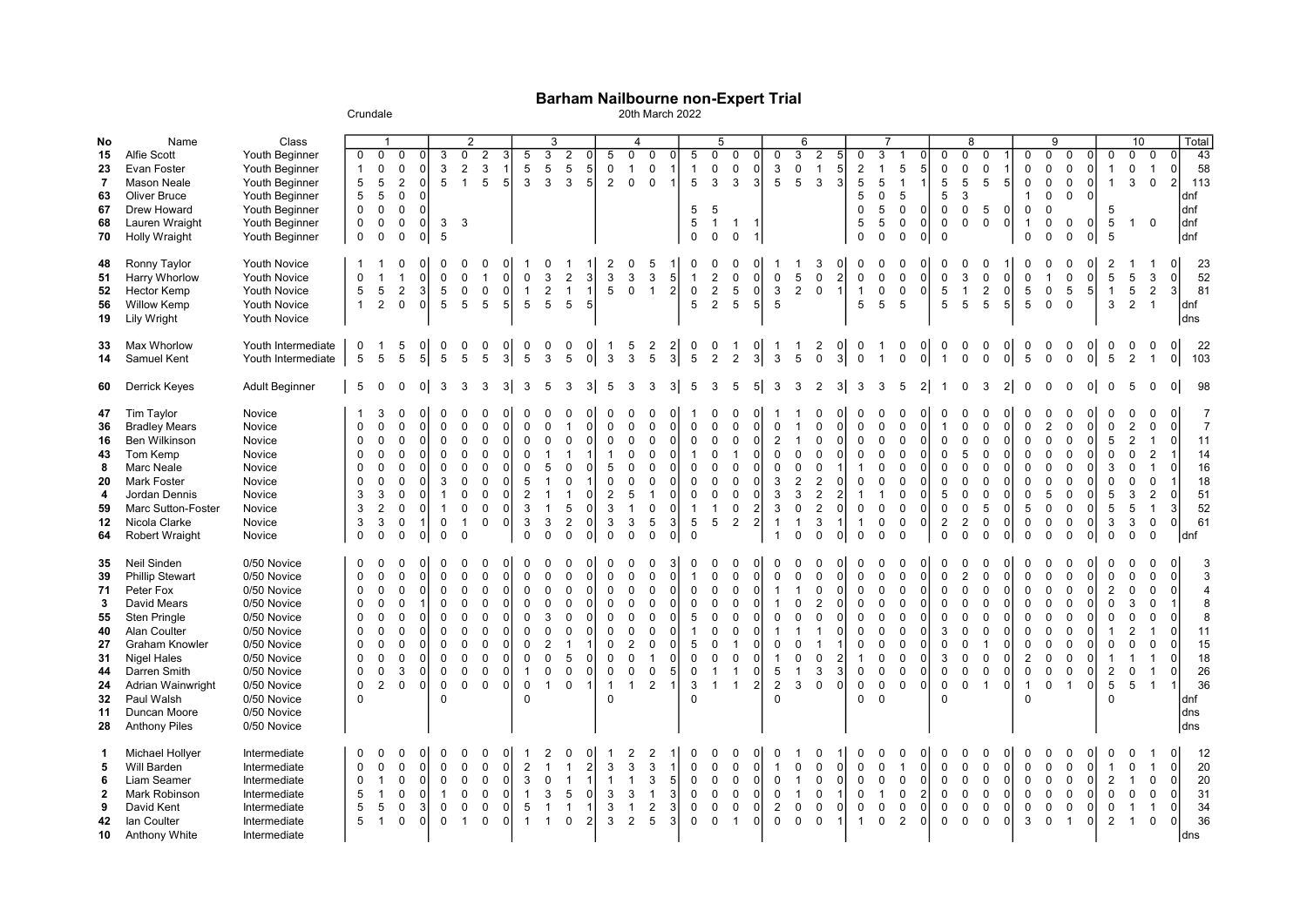## Barham Nailbourne non-Expert Trial

Crundale 20th March 2022

|                                                                           | Name                                                                                                                                                                                                                                        |                                                                                                                                                                                                 |                                                                                                                                                       | $\overline{\mathbf{1}}$                                                                                             |                                                                                  |                                                                         |                                                                                                                                      | $\overline{2}$                                                                                                                                  |                                                                                                                                                                                                                |                                                                                                                                                     | 3                                                                                                    |                                                                                                                              |                                                                                                                                     |                                                                                                                                                    | $\overline{4}$                                                                                                            |                                                                                                                                                     |                                                                                                              | 5                                                                                                                                       |                                                                                                                   |                                                                                                                  |                                                                                                                               |                                                                                                                |                                                                                                         |                                                                                                                            |                                                                                |                                                                                                                                                                    |                                                                                                                                                       |                                                                                                                                         |                                                                                                   |                                                                                                                                 | 8                                                                                                                             |                                                                                                                                    |                                                                                                |                                                                                                                                                        | 9                                                                                                                                |                                                                                                                        |                                                                                                                                                                                                                                                                            |                                                                                         | 10                                                                                                                                                           |                                                                                                                                                           |                                                                                       |
|---------------------------------------------------------------------------|---------------------------------------------------------------------------------------------------------------------------------------------------------------------------------------------------------------------------------------------|-------------------------------------------------------------------------------------------------------------------------------------------------------------------------------------------------|-------------------------------------------------------------------------------------------------------------------------------------------------------|---------------------------------------------------------------------------------------------------------------------|----------------------------------------------------------------------------------|-------------------------------------------------------------------------|--------------------------------------------------------------------------------------------------------------------------------------|-------------------------------------------------------------------------------------------------------------------------------------------------|----------------------------------------------------------------------------------------------------------------------------------------------------------------------------------------------------------------|-----------------------------------------------------------------------------------------------------------------------------------------------------|------------------------------------------------------------------------------------------------------|------------------------------------------------------------------------------------------------------------------------------|-------------------------------------------------------------------------------------------------------------------------------------|----------------------------------------------------------------------------------------------------------------------------------------------------|---------------------------------------------------------------------------------------------------------------------------|-----------------------------------------------------------------------------------------------------------------------------------------------------|--------------------------------------------------------------------------------------------------------------|-----------------------------------------------------------------------------------------------------------------------------------------|-------------------------------------------------------------------------------------------------------------------|------------------------------------------------------------------------------------------------------------------|-------------------------------------------------------------------------------------------------------------------------------|----------------------------------------------------------------------------------------------------------------|---------------------------------------------------------------------------------------------------------|----------------------------------------------------------------------------------------------------------------------------|--------------------------------------------------------------------------------|--------------------------------------------------------------------------------------------------------------------------------------------------------------------|-------------------------------------------------------------------------------------------------------------------------------------------------------|-----------------------------------------------------------------------------------------------------------------------------------------|---------------------------------------------------------------------------------------------------|---------------------------------------------------------------------------------------------------------------------------------|-------------------------------------------------------------------------------------------------------------------------------|------------------------------------------------------------------------------------------------------------------------------------|------------------------------------------------------------------------------------------------|--------------------------------------------------------------------------------------------------------------------------------------------------------|----------------------------------------------------------------------------------------------------------------------------------|------------------------------------------------------------------------------------------------------------------------|----------------------------------------------------------------------------------------------------------------------------------------------------------------------------------------------------------------------------------------------------------------------------|-----------------------------------------------------------------------------------------|--------------------------------------------------------------------------------------------------------------------------------------------------------------|-----------------------------------------------------------------------------------------------------------------------------------------------------------|---------------------------------------------------------------------------------------|
| No<br>15<br>23<br>$\overline{7}$<br>63<br>67<br>68<br>70                  | <b>Alfie Scott</b><br>Evan Foster<br><b>Mason Neale</b><br>Oliver Bruce<br>Drew Howard<br>Lauren Wraight<br><b>Holly Wraight</b>                                                                                                            | Class<br>Youth Beginner<br>Youth Beginner<br>Youth Beginner<br>Youth Beginner<br>Youth Beginner<br>Youth Beginner<br>Youth Beginner                                                             | $\mathbf 0$<br>$\mathbf{1}$<br>5<br>5<br>$\mathbf 0$<br>$\mathbf 0$<br>$\mathbf 0$                                                                    | $\mathbf 0$<br>$\pmb{0}$<br>$\sqrt{5}$<br>$\overline{5}$<br>$\mathsf 0$<br>$\mathbf 0$<br>$\mathbf 0$               | 0<br>0<br>$\overline{2}$<br>$\mathbf 0$<br>$\mathsf 0$<br>$\mathbf 0$<br>0       | 0 <br>0<br>n<br>$\Omega$<br>0<br>$\Omega$                               | 3<br>3<br>5<br>3<br>5                                                                                                                | $\overline{0}$<br>2<br>$\overline{1}$<br>3                                                                                                      | $\overline{2}$<br>3<br>3<br>1<br>5<br>5 <sup>1</sup>                                                                                                                                                           | 5<br>$\sqrt{5}$<br>3                                                                                                                                | $\overline{3}$<br>5<br>3                                                                             | $\overline{2}$<br>$\overline{5}$<br>3                                                                                        | 0<br>5 <sub>5</sub><br>5 <sub>l</sub>                                                                                               | 5<br>$\mathbf 0$<br>2                                                                                                                              | $\overline{0}$<br>$\mathbf{1}$<br>$\mathbf 0$                                                                             | $\mathbf 0$<br>$\mathbf 0$<br>$\mathbf 0$                                                                                                           | $\Omega$<br>$\mathbf{1}$<br>$\overline{1}$                                                                   | 5<br>$\overline{1}$<br>$5\phantom{.0}$<br>5<br>$\sqrt{5}$<br>0                                                                          | $\overline{0}$<br>$\mathbf 0$<br>$\mathbf{3}$<br>5<br>$\overline{1}$<br>0                                         | $\mathbf 0$<br>0<br>3<br>$\mathbf{1}$<br>$\mathbf 0$                                                             | $\Omega$<br>$\mathbf 0$<br>3<br>$\overline{1}$<br>$\overline{1}$                                                              | $\mathbf 0$<br>3<br>5                                                                                          | 6<br>$\overline{3}$<br>$\pmb{0}$<br>$5\phantom{.0}$                                                     | $\overline{2}$<br>$\mathbf{1}$<br>3                                                                                        | 5<br>5 <sup>5</sup><br>3                                                       | $\mathbf 0$<br>$\overline{2}$<br>$\overline{5}$<br>5<br>$\mathbf 0$<br>5<br>$\mathbf 0$                                                                            | $\overline{3}$<br>$\mathbf{1}$<br>5<br>$\mathbf 0$<br>5<br>5<br>$\mathbf 0$                                                                           | 5<br>$\overline{1}$<br>5<br>$\mathsf 0$<br>$\mathbf 0$<br>$\mathbf 0$                                                                   | 5 <sup>1</sup><br>$\overline{0}$<br>$\overline{0}$<br>$\overline{0}$                              | $\Omega$<br>$\mathbf 0$<br>$\overline{5}$<br>5<br>$\mathbf 0$<br>$\mathbf 0$<br>$\Omega$                                        | $\Omega$<br>$\mathbf 0$<br>$\overline{5}$<br>3<br>$\pmb{0}$<br>$\Omega$                                                       | $\Omega$<br>0<br>5<br>$\sqrt{5}$<br>$\mathbf 0$                                                                                    | 5<br>$\Omega$<br>$\Omega$                                                                      | $\mathbf 0$<br>0<br>$\mathbf 0$<br>$\mathbf{1}$<br>$\mathbf 0$<br>$\mathbf{1}$<br>$\mathbf 0$                                                          | $\overline{0}$<br>$\mathbf 0$<br>$\mathbf 0$<br>$\mathbf 0$<br>$\mathbf 0$<br>$\mathbf 0$<br>$\mathbf 0$                         | $\Omega$<br>$\mathbf 0$<br>0<br>$\mathbf 0$<br>$\mathbf 0$<br>$\Omega$                                                 | $\Omega$<br>0<br>$\overline{0}$<br>$\overline{1}$<br>$\overline{0}$<br>$\overline{1}$<br>$\overline{0}$<br>5<br>5<br>$\overline{0}$<br>5<br>0                                                                                                                              | 0<br>3<br>$\overline{1}$                                                                | $\overline{0}$<br>$\overline{1}$<br>$\mathbf 0$<br>$\overline{0}$                                                                                            | 0<br>$\overline{0}$<br>$\overline{2}$                                                                                                                     | Total<br>43<br>58<br>113<br>dnf<br>dnf<br>dnf<br>dnf                                  |
| 48<br>51<br>52<br>56<br>19                                                | Ronny Taylor<br>Harry Whorlow<br><b>Hector Kemp</b><br><b>Willow Kemp</b><br>Lily Wright                                                                                                                                                    | Youth Novice<br>Youth Novice<br>Youth Novice<br>Youth Novice<br>Youth Novice                                                                                                                    | $\Omega$<br>5<br>$\mathbf{1}$                                                                                                                         | $5\phantom{.0}$<br>$\overline{2}$                                                                                   | 0<br>$\overline{1}$<br>$\overline{2}$<br>$\mathsf 0$                             | $\Omega$<br>3 <sup>1</sup><br>οI                                        | 0<br>$\mathsf 0$<br>5<br>$5\phantom{.0}$                                                                                             | 0<br>$\mathsf 0$<br>$\mathbf 0$<br>$5\phantom{.0}$                                                                                              | 0<br>0<br> 0 <br>$\mathbf{1}$<br>$\mathbf 0$<br> 0 <br>$\sqrt{5}$<br>5                                                                                                                                         | $\mathbf 0$<br>$\overline{1}$<br>$5\phantom{.0}$                                                                                                    | 3<br>$\overline{2}$<br>5                                                                             | $\overline{2}$<br>$\overline{1}$<br>$5\phantom{.0}$                                                                          | 3<br>$\mathbf{1}$<br>$\overline{5}$                                                                                                 | 2<br>$\mathsf 3$<br>$5\phantom{.0}$                                                                                                                | 0<br>3<br>$\mathbf 0$                                                                                                     | 5<br>$\sqrt{3}$<br>$\overline{1}$                                                                                                                   | 5<br>$\overline{2}$                                                                                          | 0<br>$\mathbf{1}$<br>$\mathbf 0$<br>5                                                                                                   | 0<br>$\overline{2}$<br>$\overline{2}$<br>$\overline{2}$                                                           | $\Omega$<br>$\mathsf 0$<br>5<br>5                                                                                | $\mathbf 0$<br>$\mathbf 0$<br>5                                                                                               | $\mathbf 0$<br>3<br>$\sqrt{5}$                                                                                 | 5<br>$\overline{2}$                                                                                     | 3<br>$\mathbf 0$<br>$\mathbf 0$                                                                                            | 2<br>$\vert$ 1                                                                 | 0<br>$\pmb{0}$<br>$\overline{1}$<br>5                                                                                                                              | $\mathbf 0$<br>$\pmb{0}$<br>0<br>5                                                                                                                    | 0<br>$\mathbf 0$<br>$\mathbf 0$<br>5                                                                                                    | 01<br>$\overline{0}$<br> 0                                                                        | $\Omega$<br>$\pmb{0}$<br>$\sqrt{5}$<br>$\overline{5}$                                                                           | $\Omega$<br>$\sqrt{3}$<br>$\overline{1}$<br>5                                                                                 | 0<br>0<br>$\overline{2}$<br>$5\phantom{.0}$                                                                                        | $\Omega$<br> 0 <br>5 <sup>1</sup>                                                              | $\mathbf 0$<br>$\mathbf 0$<br>$\sqrt{5}$<br>$5\phantom{.0}$                                                                                            | $\Omega$<br>$\overline{1}$<br>$\mathsf 0$<br>$\mathsf 0$                                                                         | 0<br>0<br>5<br>$\mathbf 0$                                                                                             | $\overline{2}$<br>$\overline{5}$<br>$\overline{0}$<br>5 <sub>5</sub><br>$\overline{1}$                                                                                                                                                                                     | $\sqrt{5}$<br>$5\phantom{.0}$<br>3<br>$\overline{2}$                                    | 3<br>$\overline{2}$<br>$\overline{1}$                                                                                                                        | $\overline{0}$<br>$\mathbf 0$<br>3 <sup>1</sup>                                                                                                           | 23<br>52<br>81<br>dnf<br>dns                                                          |
| 33<br>14                                                                  | Max Whorlow<br>Samuel Kent                                                                                                                                                                                                                  | Youth Intermediate<br>Youth Intermediate                                                                                                                                                        | 0<br>5                                                                                                                                                | $\mathbf{1}$<br>$\sqrt{5}$                                                                                          | 5<br>5                                                                           | 0 <br>5 <sup>1</sup>                                                    | 0<br>$\sqrt{5}$                                                                                                                      | 0<br>$\sqrt{5}$                                                                                                                                 | 0<br> 0 <br>$\,$ 5 $\,$<br>3                                                                                                                                                                                   | 0<br>5                                                                                                                                              | 0<br>$\mathsf 3$                                                                                     | 0<br>5                                                                                                                       | 0<br>$\circ$                                                                                                                        | -1<br>$\mathbf{3}$                                                                                                                                 | 5<br>$\mathbf{3}$                                                                                                         | $\frac{2}{5}$                                                                                                                                       | $\frac{2}{3}$                                                                                                | 0<br>$\overline{5}$                                                                                                                     | 0<br>$\overline{2}$                                                                                               | $\mathbf{1}$<br>$\overline{2}$                                                                                   | 0<br>3                                                                                                                        | 1<br>$\mathbf{3}$                                                                                              | $\overline{1}$<br>$\sqrt{5}$                                                                            | 2<br>$\mathsf{O}\xspace$                                                                                                   | 0<br>3                                                                         | 0<br>$\pmb{0}$                                                                                                                                                     | $\mathbf{1}$<br>$\mathbf{1}$                                                                                                                          | 0<br>$\mathsf 0$                                                                                                                        | 01<br> 0                                                                                          | 0<br>$\overline{1}$                                                                                                             | 0<br>$\pmb{0}$                                                                                                                | 0<br>$\pmb{0}$                                                                                                                     | $\overline{0}$<br> 0                                                                           | 0<br>$\sqrt{5}$                                                                                                                                        | 0<br>$\pmb{0}$                                                                                                                   | 0<br>$\pmb{0}$                                                                                                         | $\overline{0}$<br>0<br>5<br>$\overline{0}$                                                                                                                                                                                                                                 | 0<br>$\overline{2}$                                                                     | 0                                                                                                                                                            | $\overline{0}$<br>$\overline{0}$                                                                                                                          | 22<br>103                                                                             |
| 60                                                                        | Derrick Keyes                                                                                                                                                                                                                               | <b>Adult Beginner</b>                                                                                                                                                                           | 5                                                                                                                                                     | $\Omega$                                                                                                            | $\Omega$                                                                         | $\overline{0}$                                                          | 3                                                                                                                                    | 3                                                                                                                                               | 3<br>3 <sup>1</sup>                                                                                                                                                                                            | 3                                                                                                                                                   | 5                                                                                                    | 3                                                                                                                            | 3 <sup>1</sup>                                                                                                                      | 5                                                                                                                                                  | 3                                                                                                                         | 3                                                                                                                                                   | 3 <sup>1</sup>                                                                                               | 5                                                                                                                                       | 3                                                                                                                 | 5                                                                                                                | 5                                                                                                                             | 3                                                                                                              | 3                                                                                                       | 2                                                                                                                          | 3 <sup>1</sup>                                                                 | 3                                                                                                                                                                  | 3                                                                                                                                                     | 5                                                                                                                                       |                                                                                                   |                                                                                                                                 | $\Omega$                                                                                                                      | 3                                                                                                                                  | 2 <sup>1</sup>                                                                                 | $\Omega$                                                                                                                                               |                                                                                                                                  |                                                                                                                        |                                                                                                                                                                                                                                                                            |                                                                                         |                                                                                                                                                              | $\Omega$                                                                                                                                                  | 98                                                                                    |
| 47<br>36<br>16<br>43<br>8<br>20<br>4<br>59<br>12<br>64                    | Tim Taylor<br><b>Bradley Mears</b><br>Ben Wilkinson<br>Tom Kemp<br>Marc Neale<br><b>Mark Foster</b><br>Jordan Dennis<br>Marc Sutton-Foster<br>Nicola Clarke<br>Robert Wraight                                                               | Novice<br>Novice<br>Novice<br>Novice<br>Novice<br>Novice<br>Novice<br>Novice<br>Novice<br>Novice                                                                                                | $\mathbf 0$<br>$\Omega$<br>$\Omega$<br>$\Omega$<br>$\Omega$<br>3<br>3<br>3<br>$\mathbf 0$                                                             | 3<br>$\mathbf 0$<br>$\Omega$<br>$\Omega$<br>$\Omega$<br>$\Omega$<br>3<br>$\overline{2}$<br>3<br>$\Omega$            | $\Omega$<br>$\mathbf 0$<br>0<br>0<br>0<br>0<br>$\mathbf 0$<br>0<br>0<br>0        | 0<br>$\Omega$<br>$\Omega$<br>$\Omega$<br>$\Omega$<br>$\mathbf{1}$<br> 0 | <sup>0</sup><br>$\Omega$<br>$\mathbf 0$<br>$\Omega$<br>$\Omega$<br>3<br>$\mathbf{1}$<br>$\overline{1}$<br>$\mathbf 0$<br>$\mathbf 0$ | $\Omega$<br>$\mathbf 0$<br>$\Omega$<br>$\Omega$<br>$\Omega$<br>$\Omega$<br>$\mathbf 0$<br>$\mathbf 0$<br>$\overline{\mathbf{1}}$<br>$\mathbf 0$ | $\Omega$<br>0<br>$\mathbf 0$<br>0<br>$\mathbf 0$<br>$\overline{0}$<br>$\Omega$<br>$\overline{0}$<br>$\Omega$<br>0<br>$\Omega$<br>$\overline{0}$<br>$\mathbf{0}$<br> 0 <br>$\mathbf 0$<br> 0 <br>$\Omega$<br>0  | $\Omega$<br>$\mathbf 0$<br>$\Omega$<br>$\Omega$<br>5<br>$\overline{2}$<br>3<br>3<br>$\mathbf 0$                                                     | $\Omega$<br>5<br>$\overline{\mathbf{1}}$<br>$\overline{\mathbf{1}}$<br>$\overline{1}$<br>3<br>0      | $\Omega$<br>$\overline{1}$<br>$\Omega$<br>$\mathbf 0$<br>$\mathbf 0$<br>$\mathbf{1}$<br>5<br>$\overline{2}$<br>$\mathbf 0$   | 0<br>$\overline{0}$<br>$\mathbf 0$<br>0<br>$\mathbf 1$<br>$\overline{0}$<br>0<br>$\overline{0}$<br>$\overline{0}$                   | $\mathbf 0$<br>$\mathbf{0}$<br>$\overline{\mathbf{1}}$<br>5<br>$\mathbf 0$<br>$\overline{2}$<br>3<br>3<br>$\mathbf 0$                              | $\mathbf 0$<br>$\Omega$<br>$\Omega$<br>$\Omega$<br>5<br>$\overline{1}$<br>3<br>$\mathbf 0$                                | $\Omega$<br>$\mathbf 0$<br>$\mathbf 0$<br>$\Omega$<br>$\mathbf 0$<br>$\mathbf 0$<br>$\overline{1}$<br>$\mathbf 0$<br>$5\phantom{.0}$<br>$\mathsf 0$ | $\Omega$<br>$\Omega$<br>0<br>$\Omega$<br>$\Omega$<br>0<br>$\mathbf 0$<br>0<br>3<br>$\mathbf 0$               | $\mathbf 0$<br>$\mathbf 0$<br>$\overline{1}$<br>$\mathbf 0$<br>$\mathbf 0$<br>$\mathbf 0$<br>$\overline{1}$<br>5<br>$\mathbf 0$         | $\mathbf 0$<br>$\mathbf 0$<br>$\Omega$<br>$\mathbf 0$<br>$\Omega$<br>$\mathbf 0$<br>$\mathbf{1}$<br>5             | $\Omega$<br>$\Omega$<br>$\Omega$<br>$\Omega$<br>$\Omega$<br>$\mathbf 0$<br>0<br>$\overline{2}$                   | $\Omega$<br>$\mathbf 0$<br>$\mathbf 0$<br>$\Omega$<br>$\Omega$<br>$\Omega$<br>$\mathbf 0$<br>$\overline{2}$<br>$\overline{2}$ | 0<br>$\overline{c}$<br>0<br>$\mathbf 0$<br>$\sqrt{3}$<br>3<br>3<br>$\mathbf{1}$<br>$\mathbf{1}$                | $\mathbf{1}$<br>$\Omega$<br>$\Omega$<br>$\overline{c}$<br>3<br>$\mathbf 0$<br>$\mathbf{1}$<br>$\pmb{0}$ | $\Omega$<br>$\Omega$<br>$\mathbf 0$<br>$\Omega$<br>$\Omega$<br>$\boldsymbol{2}$<br>2<br>$\overline{2}$<br>3<br>$\mathbf 0$ | $\Omega$<br>O<br>$\Omega$<br>O<br>$\overline{2}$<br>0<br>$\vert$ 1<br>$\Omega$ | $\Omega$<br>$\mathbf 0$<br>$\mathbf 0$<br>$\mathbf 0$<br>$\mathbf{1}$<br>$\mathbf 0$<br>$\mathbf{1}$<br>$\pmb{0}$<br>$\overline{1}$<br>$\mathbf 0$                 | $\Omega$<br>$\mathbf 0$<br>$\mathbf 0$<br>$\Omega$<br>$\mathbf 0$<br>$\Omega$<br>$\mathbf{1}$<br>$\pmb{0}$<br>0<br>$\mathbf 0$                        | $\Omega$<br>$\mathbf 0$<br>$\pmb{0}$<br>$\mathbf 0$<br>$\mathbf 0$<br>$\Omega$<br>$\mathbf 0$<br>$\mathbf 0$<br>$\mathbf 0$<br>$\Omega$ | ΩI<br>$\overline{0}$<br>01<br>$\Omega$<br>0<br>$\Omega$<br>$\overline{0}$<br>$\overline{0}$<br>01 | $\Omega$<br>$\overline{1}$<br>$\Omega$<br>$\Omega$<br>$\Omega$<br>$\Omega$<br>5<br>$\mathbf 0$<br>$\overline{c}$<br>$\mathbf 0$ | $\Omega$<br>$\Omega$<br>$\Omega$<br>5<br>$\Omega$<br>$\Omega$<br>$\Omega$<br>$\mathbf 0$<br>$\overline{2}$<br>$\Omega$        | 0<br>$\mathbf 0$<br>0<br>$\mathbf 0$<br>0<br>$\Omega$<br>$\mathbf 0$<br>5<br>0<br>$\mathbf 0$                                      | $\Omega$<br>$\Omega$<br>0<br>$\Omega$<br>$\Omega$<br>$\overline{0}$<br>$\Omega$<br>$\mathbf 0$ | 0<br>$\mathbf 0$<br>$\mathbf 0$<br>$\mathbf 0$<br>$\Omega$<br>$\Omega$<br>$\mathbf 0$<br>5<br>$\mathbf 0$<br>$\mathbf 0$                               | $\Omega$<br>$\overline{2}$<br>$\Omega$<br>$\Omega$<br>$\Omega$<br>$\Omega$<br>5<br>$\mathbf 0$<br>$\mathbf 0$<br>$\mathbf 0$     | $\Omega$<br>$\mathbf 0$<br>$\mathbf 0$<br>0<br>$\Omega$<br>$\Omega$<br>$\mathbf{0}$<br>0<br>$\mathbf 0$<br>$\mathbf 0$ | O<br>$\overline{0}$<br>$\Omega$<br>5<br>$\overline{0}$<br>$\overline{0}$<br>$\Omega$<br>0<br>3<br>$\Omega$<br>$\overline{0}$<br>$\overline{0}$<br>5<br>5<br>$\overline{0}$<br>$\overline{0}$<br>3<br>$\overline{0}$<br>$\mathbf 0$                                         | $\mathbf{2}$<br>2<br>$\Omega$<br>$\Omega$<br>$\Omega$<br>3<br>5<br>3<br>$\mathbf 0$     | $\Omega$<br>$\mathbf 0$<br>$\mathbf{1}$<br>$\overline{2}$<br>$\mathbf{1}$<br>$\mathbf 0$<br>$\overline{2}$<br>$\overline{1}$<br>$\mathbf 0$<br>$\mathbf 0$   | $\mathbf 0$<br>$\overline{0}$<br>$\overline{0}$<br>$\mathbf{1}$<br>$\overline{0}$<br>$\mathbf{1}$<br>$\overline{0}$<br>$\mathbf{3}$<br>$\overline{0}$     | $\overline{7}$<br>$\overline{7}$<br>11<br>14<br>16<br>18<br>51<br>52<br>61<br>dnf     |
| 35<br>39<br>71<br>3<br>55<br>40<br>27<br>31<br>44<br>24<br>32<br>11<br>28 | Neil Sinden<br><b>Phillip Stewart</b><br>Peter Fox<br>David Mears<br>Sten Pringle<br>Alan Coulter<br><b>Graham Knowler</b><br><b>Nigel Hales</b><br>Darren Smith<br>Adrian Wainwright<br>Paul Walsh<br>Duncan Moore<br><b>Anthony Piles</b> | 0/50 Novice<br>0/50 Novice<br>0/50 Novice<br>0/50 Novice<br>0/50 Novice<br>0/50 Novice<br>0/50 Novice<br>0/50 Novice<br>0/50 Novice<br>0/50 Novice<br>0/50 Novice<br>0/50 Novice<br>0/50 Novice | $\Omega$<br>$\mathbf 0$<br>$\mathbf 0$<br>$\Omega$<br>$\mathbf 0$<br>$\Omega$<br>$\mathbf 0$<br>$\Omega$<br>$\mathbf 0$<br>$\mathbf 0$<br>$\mathbf 0$ | $\Omega$<br>$\Omega$<br>$\mathbf 0$<br>$\Omega$<br>$\Omega$<br>$\Omega$<br>$\Omega$<br>$\Omega$<br>$\mathbf 0$<br>2 | $\Omega$<br>$\mathbf 0$<br>$\mathbf 0$<br>0<br>0<br>0<br>0<br>0<br>3<br>$\Omega$ | $\Omega$<br>$\Omega$<br><sup>0</sup><br>$\Omega$<br>U<br>$\Omega$<br>U  | $\Omega$<br>$\Omega$<br>$\mathbf 0$<br>$\Omega$<br>$\mathbf 0$<br>$\Omega$<br>0<br>$\Omega$<br>$\mathbf 0$<br>0<br>$\Omega$          | $\Omega$<br>$\Omega$<br>$\Omega$<br>$\Omega$<br>$\Omega$<br>$\Omega$<br>$\mathbf 0$<br>$\Omega$<br>$\mathbf 0$<br>$\Omega$                      | $\Omega$<br>$\Omega$<br>$\Omega$<br>$\overline{0}$<br>$\mathbf 0$<br>0<br>$\Omega$<br>$\Omega$<br>$\Omega$<br>0<br>$\Omega$<br>0<br>$\Omega$<br>0<br>$\Omega$<br>0<br>$\mathbf 0$<br> 0 <br>$\mathbf{0}$<br> 0 | $\Omega$<br>$\mathbf 0$<br>$\mathbf{0}$<br>$\Omega$<br>$\mathbf 0$<br>$\Omega$<br>$\mathbf 0$<br>$\Omega$<br>$\overline{1}$<br>$\Omega$<br>$\Omega$ | $\Omega$<br>$\Omega$<br>$\Omega$<br>3<br>$\Omega$<br>$\overline{2}$<br>$\Omega$<br>0<br>$\mathbf{1}$ | $\Omega$<br>$\Omega$<br>$\mathbf 0$<br>$\Omega$<br>$\mathbf 0$<br>$\Omega$<br>$\overline{1}$<br>5<br>$\mathbf 0$<br>$\Omega$ | $\Omega$<br>$\mathbf 0$<br>$\mathbf 0$<br>$\Omega$<br>$\mathbf 0$<br>$\Omega$<br>1<br>$\mathbf 0$<br>$\overline{0}$<br>$\mathbf{1}$ | $\Omega$<br>$\mathbf 0$<br>$\mathbf 0$<br>$\Omega$<br>$\mathbf 0$<br>$\Omega$<br>0<br>$\mathbf{0}$<br>$\mathbf 0$<br>$\overline{1}$<br>$\mathbf 0$ | $\Omega$<br>$\mathbf 0$<br>$\Omega$<br>$\Omega$<br>$\Omega$<br>$\overline{2}$<br>$\Omega$<br>$\mathbf{0}$<br>$\mathbf{1}$ | $\Omega$<br>$\Omega$<br>$\mathbf 0$<br>$\Omega$<br>$\Omega$<br>$\Omega$<br>$\mathbf 0$<br>$\overline{1}$<br>$\mathbf 0$<br>2                        | 3<br>$\Omega$<br>$\Omega$<br>$\Omega$<br>$\Omega$<br>$\Omega$<br>$\Omega$<br>$\Omega$<br>5<br>$\overline{1}$ | $\Omega$<br>$\overline{1}$<br>$\mathbf 0$<br>$\mathbf 0$<br>5<br>$\overline{1}$<br>5<br>$\mathbf 0$<br>$\mathbf 0$<br>$\mathbf{3}$<br>0 | $\Omega$<br>$\Omega$<br>$\mathbf 0$<br>$\Omega$<br>$\Omega$<br>O<br>0<br>$\Omega$<br>$\mathbf{1}$<br>$\mathbf{1}$ | $\Omega$<br>$\mathbf 0$<br>$\Omega$<br>$\Omega$<br>$\Omega$<br>1<br>$\Omega$<br>$\overline{1}$<br>$\overline{1}$ | $\Omega$<br>$\mathbf 0$<br>$\Omega$<br>$\Omega$<br>$\Omega$<br>$\mathbf 0$<br>$\Omega$<br>$\mathbf 0$<br>$\overline{2}$       | $\Omega$<br>$\Omega$<br>$\mathbf{1}$<br>$\mathbf 0$<br>0<br>$\mathbf{1}$<br>$\,$ 5 $\,$<br>$\overline{2}$<br>0 | $\Omega$<br>$\Omega$<br>$\Omega$<br>$\Omega$<br>$\Omega$<br>$\Omega$<br>$\mathbf{1}$<br>3               | $\Omega$<br>$\Omega$<br>$\mathbf 0$<br>$\overline{2}$<br>$\Omega$<br>$\Omega$<br>3<br>$\Omega$                             | $\Omega$<br>$\Omega$<br>O<br>$\overline{2}$<br>3<br>$\Omega$                   | $\mathbf 0$<br>$\mathbf 0$<br>$\mathbf 0$<br>$\mathbf 0$<br>$\mathbf 0$<br>$\mathbf 0$<br>$\mathbf 0$<br>$\mathbf{1}$<br>$\mathbf 0$<br>$\mathsf 0$<br>$\mathbf 0$ | $\Omega$<br>$\Omega$<br>$\mathbf 0$<br>$\Omega$<br>$\mathbf 0$<br>$\Omega$<br>$\mathbf 0$<br>$\mathbf 0$<br>$\mathbf 0$<br>$\mathbf 0$<br>$\mathbf 0$ | $\Omega$<br>$\mathbf 0$<br>$\mathbf 0$<br>$\Omega$<br>$\Omega$<br>$\Omega$<br>$\mathbf 0$<br>$\Omega$<br>$\mathbf 0$<br>$\Omega$        | $\Omega$<br>$\overline{0}$<br>$\Omega$<br>ΩI<br>0<br>$\Omega$<br>$\overline{0}$<br>$\Omega$       | $\Omega$<br>$\mathbf 0$<br>$\mathbf 0$<br>$\Omega$<br>$\Omega$<br>3<br>$\Omega$<br>3<br>$\mathbf 0$<br>$\mathbf 0$<br>$\Omega$  | $\Omega$<br>$\overline{2}$<br>$\mathbf 0$<br>$\Omega$<br>$\Omega$<br>$\Omega$<br>$\Omega$<br>$\Omega$<br>$\Omega$<br>$\Omega$ | $\Omega$<br>$\mathbf 0$<br>$\mathbf 0$<br>$\Omega$<br>0<br>$\Omega$<br>$\overline{1}$<br>$\Omega$<br>$\mathbf 0$<br>$\overline{1}$ | $\Omega$<br>$\Omega$<br>ŋ<br>$\Omega$<br>$\Omega$<br>$\Omega$                                  | $\Omega$<br>$\Omega$<br>$\mathbf 0$<br>$\Omega$<br>$\mathbf 0$<br>$\Omega$<br>$\mathbf 0$<br>$\overline{2}$<br>$\mathbf 0$<br>$\mathbf{1}$<br>$\Omega$ | $\Omega$<br>$\Omega$<br>$\mathbf 0$<br>$\Omega$<br>$\Omega$<br>$\Omega$<br>$\Omega$<br>$\mathbf 0$<br>$\mathbf 0$<br>$\mathbf 0$ | $\Omega$<br>$\Omega$<br>$\mathbf 0$<br>$\Omega$<br>$\Omega$<br>$\Omega$<br>0<br>0<br>$\mathbf 0$<br>$\mathbf{1}$       | 0<br>$\overline{0}$<br>$\Omega$<br>$\overline{2}$<br>$\overline{0}$<br>$\Omega$<br>0<br>$\overline{0}$<br>$\Omega$<br>$\Omega$<br>$\overline{0}$<br>$\mathbf 0$<br>$\overline{0}$<br>$\overline{1}$<br>$\overline{2}$<br>$\overline{0}$<br>$\overline{0}$<br>5<br>$\Omega$ | $\Omega$<br>$\mathbf 0$<br>3<br>0<br>0<br>$\mathbf 1$<br>$\mathbf 0$<br>$5\overline{5}$ | $\mathbf 0$<br>$\mathbf 0$<br>$\mathbf 0$<br>$\mathbf 0$<br>$\mathbf 0$<br>$\mathbf{1}$<br>$\mathbf 0$<br>$\overline{1}$<br>$\overline{1}$<br>$\overline{1}$ | $\overline{0}$<br>$\mathbf 0$<br>$\mathbf 0$<br>1<br>$\overline{0}$<br>$\overline{0}$<br>$\overline{0}$<br>$\overline{0}$<br>$\mathbf{0}$<br>$\mathbf{1}$ | 3<br>3<br>$\overline{4}$<br>8<br>8<br>11<br>15<br>18<br>26<br>36<br>dnf<br>dns<br>dns |
| $\mathbf{1}$<br>5<br>6<br>$\mathbf{2}$<br>9<br>42<br>10                   | <b>Michael Hollyer</b><br>Will Barden<br>Liam Seamer<br>Mark Robinson<br>David Kent<br>lan Coulter<br><b>Anthony White</b>                                                                                                                  | Intermediate<br>Intermediate<br>Intermediate<br>Intermediate<br>Intermediate<br>Intermediate<br>Intermediate                                                                                    | $\Omega$<br>$\mathbf 0$<br>$\mathbf 0$<br>5<br>5<br>5                                                                                                 | $\Omega$<br>$\Omega$<br>$\mathbf 1$<br>5<br>$\mathbf{1}$                                                            | 0<br>$\mathbf 0$<br>$\mathbf 0$<br>0<br>$\mathbf 0$<br>$\mathbf 0$               | $\Omega$<br>0<br>$\mathbf{3}$<br>$\Omega$                               | $\Omega$<br>$\mathbf 0$<br>$\mathbf 0$<br>$\overline{1}$<br>$\mathbf 0$<br>$\mathbf 0$                                               | $\Omega$<br>$\Omega$<br>$\Omega$<br>$\mathbf 0$<br>$\mathbf 0$<br>$\overline{1}$                                                                | $\Omega$<br>$\mathbf 0$<br>$\overline{0}$<br>$\mathbf 0$<br>0<br>$\mathbf 0$<br> 0 <br>$\mathbf 0$<br>$\overline{0}$<br>$\mathbf 0$<br>0                                                                       | $\overline{2}$<br>3<br>$\overline{1}$<br>5<br>$\overline{1}$                                                                                        | $\Omega$<br>3<br>$\overline{\mathbf{1}}$<br>$\overline{1}$                                           | $\overline{1}$<br>5<br>$\overline{1}$<br>$\mathbf 0$                                                                         | $\overline{2}$<br>$\mathbf{1}$<br>$\mathbf 0$<br>$\mathbf{1}$<br>$\overline{2}$                                                     | 3<br>$\overline{1}$<br>3<br>3<br>3                                                                                                                 | 3<br>3<br>-1<br>2                                                                                                         | 2<br>3<br>3<br>$\mathbf{1}$<br>$\overline{2}$<br>5                                                                                                  | $\mathbf{1}$<br>5<br>$\mathbf{3}$<br>3<br>3                                                                  | 0<br>0<br>$\mathbf 0$<br>$\mathbf 0$<br>$\mathbf 0$<br>$\mathbf 0$                                                                      | $\Omega$<br>$\mathbf 0$<br>$\mathbf 0$<br>$\mathbf 0$<br>$\mathbf 0$<br>$\mathbf 0$                               | $\Omega$<br>$\mathbf 0$<br>$\Omega$<br>$\mathbf 0$<br>$\Omega$<br>$\mathbf{1}$                                   | $\mathbf 0$<br>$\Omega$<br>$\mathbf 0$<br>$\Omega$<br>$\mathbf 0$                                                             | $\Omega$<br>$\mathbf 0$<br>$\mathbf 0$<br>$\overline{2}$<br>$\mathbf 0$                                        | $\Omega$<br>$\mathbf 1$<br>$\mathbf 0$<br>$\mathbf 0$                                                   | $\Omega$<br>$\Omega$<br>$\Omega$<br>$\mathbf 0$<br>$\Omega$<br>$\mathbf 0$                                                 | $\Omega$<br>$\overline{1}$<br>$\Omega$<br>$\overline{1}$                       | $\Omega$<br>$\Omega$<br>$\mathbf 0$<br>$\mathbf 0$<br>$\mathbf 0$<br>$\mathbf{1}$                                                                                  | $\Omega$<br>$\Omega$<br>$\Omega$<br>$\mathbf{1}$<br>$\mathbf 0$<br>$\mathbf 0$                                                                        | O<br>$\mathbf 0$<br>$\mathbf 0$<br>$\mathbf 0$<br>$\overline{2}$                                                                        | 01<br>0<br>2 <sub>1</sub><br>$\Omega$<br>01                                                       | C<br>$\Omega$<br>$\mathbf 0$<br>$\mathbf 0$<br>$\mathbf 0$<br>$\mathbf 0$                                                       | $\Omega$<br>$\Omega$<br>$\Omega$<br>$\Omega$<br>$\mathbf 0$                                                                   | $\Omega$<br>$\mathbf 0$<br>$\mathbf 0$<br>0<br>$\mathbf 0$<br>$\mathbf 0$                                                          | $\Omega$<br>$\Omega$<br>$\overline{0}$<br>$\Omega$<br>$\Omega$                                 | $\Omega$<br>$\mathbf 0$<br>$\mathbf 0$<br>$\mathbf 0$<br>$\mathbf 0$<br>3                                                                              | $\Omega$<br>$\mathbf 0$<br>$\mathbf 0$<br>$\mathbf 0$<br>$\mathbf 0$                                                             | $\Omega$<br>$\mathbf 0$<br>$\mathbf 0$<br>$\mathbf 0$<br>$\mathbf{1}$                                                  | $\overline{0}$<br>2<br>$\overline{0}$<br>$\overline{0}$<br>$\mathbf 0$<br>$\overline{0}$<br>$\Omega$<br>$\overline{0}$                                                                                                                                                     | 0<br>$\overline{1}$<br>$\mathbf 0$<br>$\overline{1}$<br>2<br>$\overline{1}$             | $\mathbf{1}$<br>$\mathbf 0$<br>$\mathbf 0$<br>$\overline{1}$<br>$\mathbf 0$                                                                                  | $\overline{0}$<br>$\mathbf 0$<br>$\overline{0}$<br>$\overline{0}$<br>$\overline{0}$<br>$\Omega$                                                           | 12<br>20<br>20<br>31<br>34<br>36<br>dns                                               |